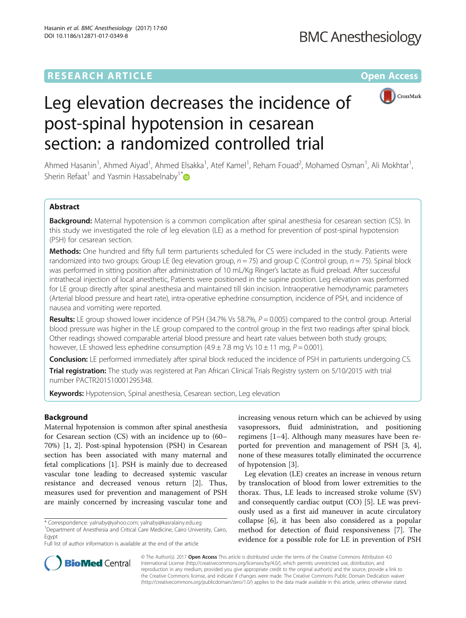## **RESEARCH ARTICLE Example 2018 12:00 Department of the CONNECTION CONNECTION CONNECTION CONNECTION CONNECTION**



# Leg elevation decreases the incidence of post-spinal hypotension in cesarean section: a randomized controlled trial

Ahmed Hasanin<sup>1</sup>, Ahmed Aiyad<sup>1</sup>, Ahmed Elsakka<sup>1</sup>, Atef Kamel<sup>1</sup>, Reham Fouad<sup>2</sup>, Mohamed Osman<sup>1</sup>, Ali Mokhtar<sup>1</sup> , Sherin Refaat<sup>1</sup> and Yasmin Hassabelnaby<sup>1\*</sup>

## Abstract

Background: Maternal hypotension is a common complication after spinal anesthesia for cesarean section (CS). In this study we investigated the role of leg elevation (LE) as a method for prevention of post-spinal hypotension (PSH) for cesarean section.

Methods: One hundred and fifty full term parturients scheduled for CS were included in the study. Patients were randomized into two groups: Group LE (leg elevation group,  $n = 75$ ) and group C (Control group,  $n = 75$ ). Spinal block was performed in sitting position after administration of 10 mL/Kg Ringer's lactate as fluid preload. After successful intrathecal injection of local anesthetic, Patients were positioned in the supine position. Leg elevation was performed for LE group directly after spinal anesthesia and maintained till skin incision. Intraoperative hemodynamic parameters (Arterial blood pressure and heart rate), intra-operative ephedrine consumption, incidence of PSH, and incidence of nausea and vomiting were reported.

Results: LE group showed lower incidence of PSH (34.7% Vs 58.7%,  $P = 0.005$ ) compared to the control group. Arterial blood pressure was higher in the LE group compared to the control group in the first two readings after spinal block. Other readings showed comparable arterial blood pressure and heart rate values between both study groups; however, LE showed less ephedrine consumption  $(4.9 \pm 7.8 \text{ mg Vs } 10 \pm 11 \text{ mg}, P = 0.001)$ .

**Conclusion:** LE performed immediately after spinal block reduced the incidence of PSH in parturients undergoing CS.

Trial registration: The study was registered at Pan African Clinical Trials Registry system on 5/10/2015 with trial number [PACTR201510001295348](http://www.pactr.org/ATMWeb/appmanager/atm/atmregistry;jsessionid=JvSLYnKpQJDkjBh5pYnbcpkTYzpT2GMnn9rPWRwkTYD4MGfJXvW6!-1182344698?_nfpb=true&_pageLabel=portals_app_atmregistry_portal_page_13).

Keywords: Hypotension, Spinal anesthesia, Cesarean section, Leg elevation

## Background

Maternal hypotension is common after spinal anesthesia for Cesarean section (CS) with an incidence up to (60– 70%) [[1, 2](#page-4-0)]. Post-spinal hypotension (PSH) in Cesarean section has been associated with many maternal and fetal complications [[1\]](#page-4-0). PSH is mainly due to decreased vascular tone leading to decreased systemic vascular resistance and decreased venous return [\[2\]](#page-4-0). Thus, measures used for prevention and management of PSH are mainly concerned by increasing vascular tone and

<sup>1</sup>Department of Anesthesia and Critical Care Medicine, Cairo University, Cairo, Egypt

Full list of author information is available at the end of the article

increasing venous return which can be achieved by using vasopressors, fluid administration, and positioning regimens [\[1](#page-4-0)–[4](#page-4-0)]. Although many measures have been reported for prevention and management of PSH [[3, 4](#page-4-0)], none of these measures totally eliminated the occurrence of hypotension [[3\]](#page-4-0).

Leg elevation (LE) creates an increase in venous return by translocation of blood from lower extremities to the thorax. Thus, LE leads to increased stroke volume (SV) and consequently cardiac output (CO) [[5\]](#page-4-0). LE was previously used as a first aid maneuver in acute circulatory collapse [\[6](#page-4-0)], it has been also considered as a popular method for detection of fluid responsiveness [[7\]](#page-5-0). The evidence for a possible role for LE in prevention of PSH



© The Author(s). 2017 **Open Access** This article is distributed under the terms of the Creative Commons Attribution 4.0 International License [\(http://creativecommons.org/licenses/by/4.0/](http://creativecommons.org/licenses/by/4.0/)), which permits unrestricted use, distribution, and reproduction in any medium, provided you give appropriate credit to the original author(s) and the source, provide a link to the Creative Commons license, and indicate if changes were made. The Creative Commons Public Domain Dedication waiver [\(http://creativecommons.org/publicdomain/zero/1.0/](http://creativecommons.org/publicdomain/zero/1.0/)) applies to the data made available in this article, unless otherwise stated.

<sup>\*</sup> Correspondence: [yalnaby@yahoo.com](mailto:yalnaby@yahoo.com); [yalnaby@kasralainy.edu.eg](mailto:yalnaby@kasralainy.edu.eg) <sup>1</sup>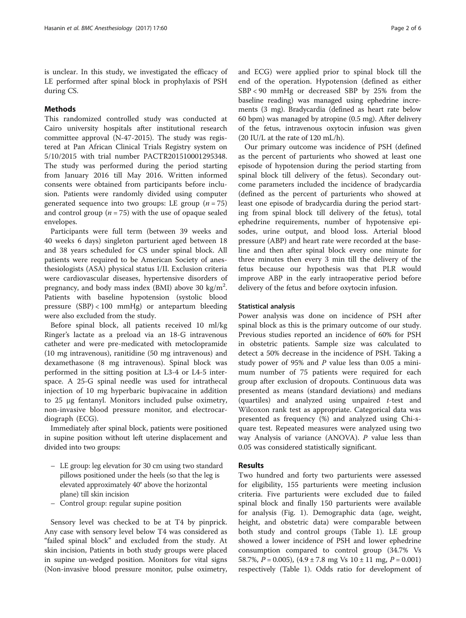is unclear. In this study, we investigated the efficacy of LE performed after spinal block in prophylaxis of PSH during CS.

## Methods

This randomized controlled study was conducted at Cairo university hospitals after institutional research committee approval (N-47-2015). The study was registered at Pan African Clinical Trials Registry system on 5/10/2015 with trial number PACTR201510001295348. The study was performed during the period starting from January 2016 till May 2016. Written informed consents were obtained from participants before inclusion. Patients were randomly divided using computer generated sequence into two groups: LE group  $(n = 75)$ and control group ( $n = 75$ ) with the use of opaque sealed envelopes.

Participants were full term (between 39 weeks and 40 weeks 6 days) singleton parturient aged between 18 and 38 years scheduled for CS under spinal block. All patients were required to be American Society of anesthesiologists (ASA) physical status I/II. Exclusion criteria were cardiovascular diseases, hypertensive disorders of pregnancy, and body mass index (BMI) above 30 kg/m<sup>2</sup>. Patients with baseline hypotension (systolic blood pressure (SBP) < 100 mmHg) or antepartum bleeding were also excluded from the study.

Before spinal block, all patients received 10 ml/kg Ringer's lactate as a preload via an 18-G intravenous catheter and were pre-medicated with metoclopramide (10 mg intravenous), ranitidine (50 mg intravenous) and dexamethasone (8 mg intravenous). Spinal block was performed in the sitting position at L3-4 or L4-5 interspace. A 25-G spinal needle was used for intrathecal injection of 10 mg hyperbaric bupivacaine in addition to 25 μg fentanyl. Monitors included pulse oximetry, non-invasive blood pressure monitor, and electrocardiograph (ECG).

Immediately after spinal block, patients were positioned in supine position without left uterine displacement and divided into two groups:

- LE group: leg elevation for 30 cm using two standard pillows positioned under the heels (so that the leg is elevated approximately 40° above the horizontal plane) till skin incision
- Control group: regular supine position

Sensory level was checked to be at T4 by pinprick. Any case with sensory level below T4 was considered as "failed spinal block" and excluded from the study. At skin incision, Patients in both study groups were placed in supine un-wedged position. Monitors for vital signs (Non-invasive blood pressure monitor, pulse oximetry, and ECG) were applied prior to spinal block till the end of the operation. Hypotension (defined as either SBP < 90 mmHg or decreased SBP by 25% from the baseline reading) was managed using ephedrine increments (3 mg). Bradycardia (defined as heart rate below 60 bpm) was managed by atropine (0.5 mg). After delivery of the fetus, intravenous oxytocin infusion was given (20 IU/L at the rate of 120 mL/h).

Our primary outcome was incidence of PSH (defined as the percent of parturients who showed at least one episode of hypotension during the period starting from spinal block till delivery of the fetus). Secondary outcome parameters included the incidence of bradycardia (defined as the percent of parturients who showed at least one episode of bradycardia during the period starting from spinal block till delivery of the fetus), total ephedrine requirements, number of hypotensive episodes, urine output, and blood loss. Arterial blood pressure (ABP) and heart rate were recorded at the baseline and then after spinal block every one minute for three minutes then every 3 min till the delivery of the fetus because our hypothesis was that PLR would improve ABP in the early intraoperative period before delivery of the fetus and before oxytocin infusion.

#### Statistical analysis

Power analysis was done on incidence of PSH after spinal block as this is the primary outcome of our study. Previous studies reported an incidence of 60% for PSH in obstetric patients. Sample size was calculated to detect a 50% decrease in the incidence of PSH. Taking a study power of 95% and  $P$  value less than 0.05 a minimum number of 75 patients were required for each group after exclusion of dropouts. Continuous data was presented as means (standard deviations) and medians (quartiles) and analyzed using unpaired t-test and Wilcoxon rank test as appropriate. Categorical data was presented as frequency (%) and analyzed using Chi-square test. Repeated measures were analyzed using two way Analysis of variance (ANOVA). P value less than 0.05 was considered statistically significant.

## Results

Two hundred and forty two parturients were assessed for eligibility, 155 parturients were meeting inclusion criteria. Five parturients were excluded due to failed spinal block and finally 150 parturients were available for analysis (Fig. [1\)](#page-2-0). Demographic data (age, weight, height, and obstetric data) were comparable between both study and control groups (Table [1\)](#page-2-0). LE group showed a lower incidence of PSH and lower ephedrine consumption compared to control group (34.7% Vs 58.7%,  $P = 0.005$ ),  $(4.9 \pm 7.8 \text{ mg Vs } 10 \pm 11 \text{ mg}, P = 0.001)$ respectively (Table [1](#page-2-0)). Odds ratio for development of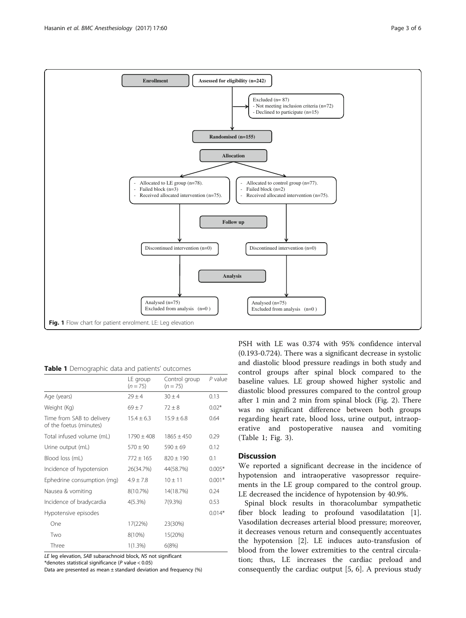<span id="page-2-0"></span>

Table 1 Demographic data and patients' outcomes

|                                                      | LE group<br>$(n = 75)$ | Control group<br>$(n = 75)$ | $P$ value |
|------------------------------------------------------|------------------------|-----------------------------|-----------|
| Age (years)                                          | $79 + 4$               | $30 + 4$                    | 0.13      |
| Weight (Kg)                                          | $69 + 7$               | $72 + 8$                    | $0.02*$   |
| Time from SAB to delivery<br>of the foetus (minutes) | $15.4 + 6.3$           | $15.9 + 6.8$                | 0.64      |
| Total infused volume (mL)                            | $1790 + 408$           | $1865 + 450$                | 0.29      |
| Urine output (mL)                                    | $570 + 90$             | $590 + 69$                  | 0.12      |
| Blood loss (mL)                                      | $772 + 165$            | $820 + 190$                 | 0.1       |
| Incidence of hypotension                             | 26(34.7%)              | 44(58.7%)                   | $0.005*$  |
| Ephedrine consumption (mg)                           | $4.9 + 7.8$            | $10 + 11$                   | $0.001*$  |
| Nausea & vomiting                                    | 8(10.7%)               | 14(18.7%)                   | 0.24      |
| Incidence of bradycardia                             | $4(5.3\%)$             | $7(9.3\%)$                  | 0.53      |
| Hypotensive episodes                                 |                        |                             | $0.014*$  |
| One                                                  | 17(22%)                | 23(30%)                     |           |
| Two                                                  | $8(10\%)$              | 15(20%)                     |           |
| Three                                                | $1(1.3\%)$             | 6(8%)                       |           |

LE leg elevation, SAB subarachnoid block, NS not significant \*denotes statistical significance (P value < 0.05)

Data are presented as mean ± standard deviation and frequency (%)

PSH with LE was 0.374 with 95% confidence interval (0.193-0.724). There was a significant decrease in systolic and diastolic blood pressure readings in both study and control groups after spinal block compared to the baseline values. LE group showed higher systolic and diastolic blood pressures compared to the control group after 1 min and 2 min from spinal block (Fig. [2](#page-3-0)). There was no significant difference between both groups regarding heart rate, blood loss, urine output, intraoperative and postoperative nausea and vomiting (Table 1; Fig. [3\)](#page-3-0).

## **Discussion**

We reported a significant decrease in the incidence of hypotension and intraoperative vasopressor requirements in the LE group compared to the control group. LE decreased the incidence of hypotension by 40.9%.

Spinal block results in thoracolumbar sympathetic fiber block leading to profound vasodilatation [\[1](#page-4-0)]. Vasodilation decreases arterial blood pressure; moreover, it decreases venous return and consequently accentuates the hypotension [\[2](#page-4-0)]. LE induces auto-transfusion of blood from the lower extremities to the central circulation; thus, LE increases the cardiac preload and consequently the cardiac output [\[5](#page-4-0), [6\]](#page-4-0). A previous study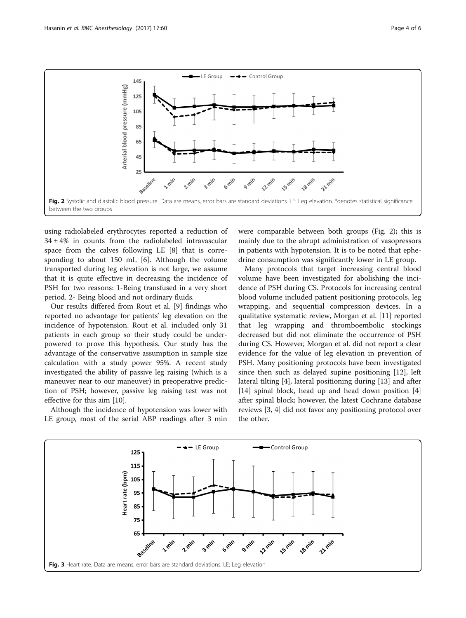<span id="page-3-0"></span>

using radiolabeled erythrocytes reported a reduction of  $34 \pm 4\%$  in counts from the radiolabeled intravascular space from the calves following LE [\[8](#page-5-0)] that is corresponding to about 150 mL [\[6](#page-4-0)]. Although the volume transported during leg elevation is not large, we assume that it is quite effective in decreasing the incidence of PSH for two reasons: 1-Being transfused in a very short period. 2- Being blood and not ordinary fluids.

Our results differed from Rout et al. [\[9](#page-5-0)] findings who reported no advantage for patients' leg elevation on the incidence of hypotension. Rout et al. included only 31 patients in each group so their study could be underpowered to prove this hypothesis. Our study has the advantage of the conservative assumption in sample size calculation with a study power 95%. A recent study investigated the ability of passive leg raising (which is a maneuver near to our maneuver) in preoperative prediction of PSH; however, passive leg raising test was not effective for this aim [[10\]](#page-5-0).

Although the incidence of hypotension was lower with LE group, most of the serial ABP readings after 3 min were comparable between both groups (Fig. 2); this is mainly due to the abrupt administration of vasopressors in patients with hypotension. It is to be noted that ephedrine consumption was significantly lower in LE group.

Many protocols that target increasing central blood volume have been investigated for abolishing the incidence of PSH during CS. Protocols for increasing central blood volume included patient positioning protocols, leg wrapping, and sequential compression devices. In a qualitative systematic review, Morgan et al. [[11\]](#page-5-0) reported that leg wrapping and thromboembolic stockings decreased but did not eliminate the occurrence of PSH during CS. However, Morgan et al. did not report a clear evidence for the value of leg elevation in prevention of PSH. Many positioning protocols have been investigated since then such as delayed supine positioning [\[12](#page-5-0)], left lateral tilting [\[4\]](#page-4-0), lateral positioning during [\[13\]](#page-5-0) and after [[14\]](#page-5-0) spinal block, head up and head down position [\[4](#page-4-0)] after spinal block; however, the latest Cochrane database reviews [\[3, 4\]](#page-4-0) did not favor any positioning protocol over the other.

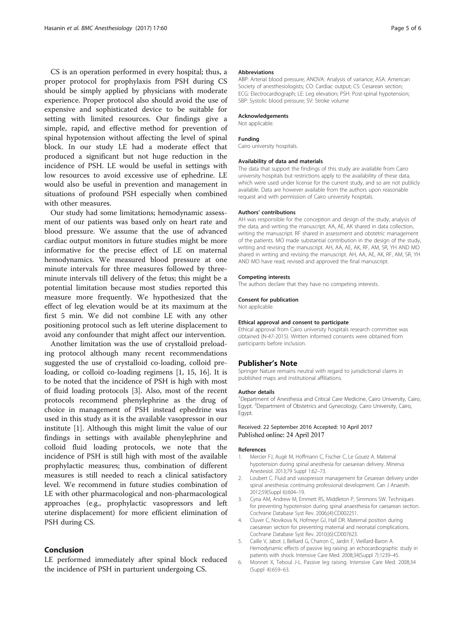<span id="page-4-0"></span>CS is an operation performed in every hospital; thus, a proper protocol for prophylaxis from PSH during CS should be simply applied by physicians with moderate experience. Proper protocol also should avoid the use of expensive and sophisticated device to be suitable for setting with limited resources. Our findings give a simple, rapid, and effective method for prevention of spinal hypotension without affecting the level of spinal block. In our study LE had a moderate effect that produced a significant but not huge reduction in the incidence of PSH. LE would be useful in settings with low resources to avoid excessive use of ephedrine. LE would also be useful in prevention and management in situations of profound PSH especially when combined with other measures.

Our study had some limitations; hemodynamic assessment of our patients was based only on heart rate and blood pressure. We assume that the use of advanced cardiac output monitors in future studies might be more informative for the precise effect of LE on maternal hemodynamics. We measured blood pressure at one minute intervals for three measures followed by threeminute intervals till delivery of the fetus; this might be a potential limitation because most studies reported this measure more frequently. We hypothesized that the effect of leg elevation would be at its maximum at the first 5 min. We did not combine LE with any other positioning protocol such as left uterine displacement to avoid any confounder that might affect our intervention.

Another limitation was the use of crystalloid preloading protocol although many recent recommendations suggested the use of crystalloid co-loading, colloid preloading, or colloid co-loading regimens [1, [15, 16\]](#page-5-0). It is to be noted that the incidence of PSH is high with most of fluid loading protocols [3]. Also, most of the recent protocols recommend phenylephrine as the drug of choice in management of PSH instead ephedrine was used in this study as it is the available vasopressor in our institute [1]. Although this might limit the value of our findings in settings with available phenylephrine and colloid fluid loading protocols, we note that the incidence of PSH is still high with most of the available prophylactic measures; thus, combination of different measures is still needed to reach a clinical satisfactory level. We recommend in future studies combination of LE with other pharmacological and non-pharmacological approaches (e.g., prophylactic vasopressors and left uterine displacement) for more efficient elimination of PSH during CS.

## Conclusion

LE performed immediately after spinal block reduced the incidence of PSH in parturient undergoing CS.

#### Abbreviations

ABP: Arterial blood pressure; ANOVA: Analysis of variance; ASA: American Society of anesthesiologists; CO: Cardiac output; CS: Cesarean section; ECG: Electrocardiograph; LE: Leg elevation; PSH: Post-spinal hypotension; SBP: Systolic blood pressure; SV: Stroke volume

#### Acknowledgements

Not applicable.

#### Funding

Cairo university hospitals.

#### Availability of data and materials

The data that support the findings of this study are available from Cairo university hospitals but restrictions apply to the availability of these data, which were used under license for the current study, and so are not publicly available. Data are however available from the authors upon reasonable request and with permission of Cairo university hospitals.

#### Authors' contributions

AH was responsible for the conception and design of the study, analysis of the data, and writing the manuscript. AA, AE, AK shared in data collection, writing the manuscript. RF shared in assessment and obstetric management of the patients. MO made substantial contribution in the design of the study, writing and revising the manuscript. AH, AA, AE, AK, RF, AM, SR, YH AND MO shared in writing and revising the manuscript. AH, AA, AE, AK, RF, AM, SR, YH AND MO have read, revised and approved the final manuscript.

#### Competing interests

The authors declare that they have no competing interests.

#### Consent for publication

Not applicable.

#### Ethical approval and consent to participate

Ethical approval from Cairo university hospitals research committee was obtained (N-47-2015). Written informed consents were obtained from participants before inclusion.

#### Publisher's Note

Springer Nature remains neutral with regard to jurisdictional claims in published maps and institutional affiliations.

#### Author details

<sup>1</sup>Department of Anesthesia and Critical Care Medicine, Cairo University, Cairo, Egypt. <sup>2</sup> Department of Obstetrics and Gynecology, Cairo University, Cairo Egypt.

#### Received: 22 September 2016 Accepted: 10 April 2017 Published online: 24 April 2017

#### References

- 1. Mercier FJ, Augè M, Hoffmann C, Fischer C, Le Gouez A. Maternal hypotension during spinal anesthesia for caesarean delivery. Minerva Anestesiol. 2013;79 Suppl 1:62–73.
- 2. Loubert C. Fluid and vasopressor management for Cesarean delivery under spinal anesthesia: continuing professional development. Can J Anaesth. 2012;59(Suppl 6):604–19.
- 3. Cyna AM, Andrew M, Emmett RS, Middleton P, Simmons SW. Techniques for preventing hypotension during spinal anaesthesia for caesarean section. Cochrane Database Syst Rev. 2006;(4):CD002251.
- 4. Cluver C, Novikova N, Hofmeyr GJ, Hall DR. Maternal position during caesarean section for preventing maternal and neonatal complications. Cochrane Database Syst Rev. 2010;(6):CD007623.
- 5. Caille V, Jabot J, Belliard G, Charron C, Jardin F, Vieillard-Baron A. Hemodynamic effects of passive leg raising: an echocardiographic study in patients with shock. Intensive Care Med. 2008;34(Suppl 7):1239–45.
- 6. Monnet X, Teboul J-L. Passive leg raising. Intensive Care Med. 2008;34 (Suppl 4):659–63.